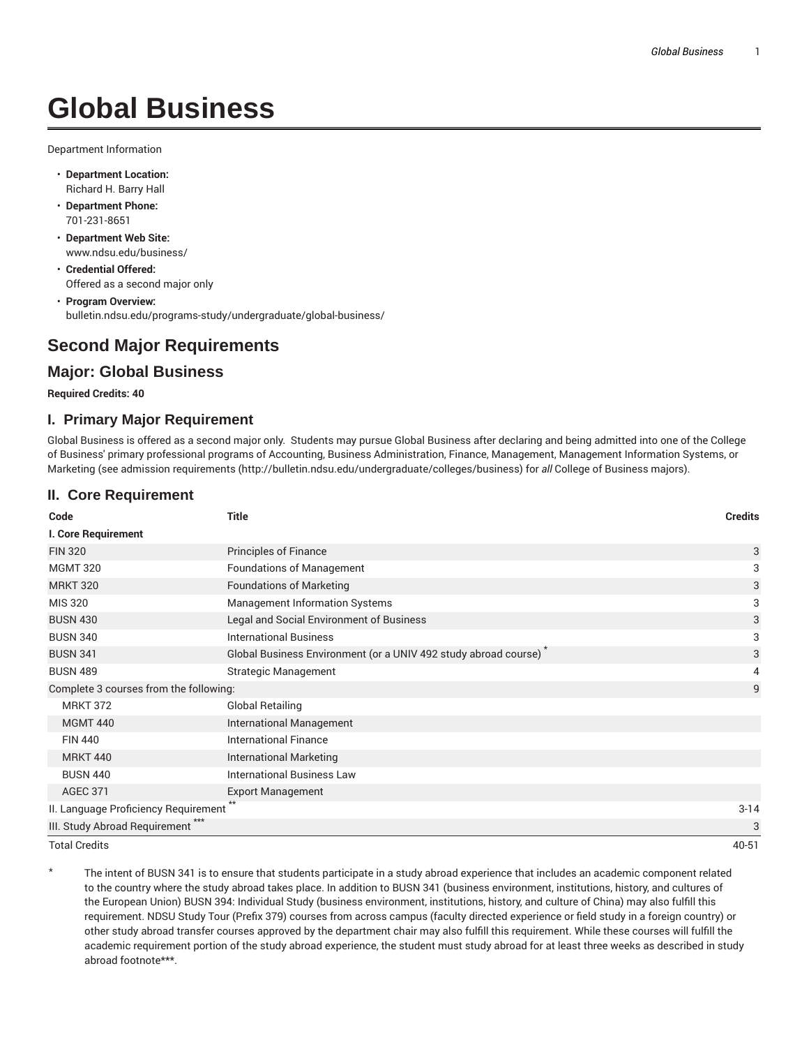# **Global Business**

Department Information

- **Department Location:** Richard H. Barry Hall
- **Department Phone:** 701-231-8651
- **Department Web Site:** www.ndsu.edu/business/
- **Credential Offered:** Offered as a second major only
- **Program Overview:** bulletin.ndsu.edu/programs-study/undergraduate/global-business/

# **Second Major Requirements**

# **Major: Global Business**

#### **Required Credits: 40**

## **I. Primary Major Requirement**

Global Business is offered as a second major only. Students may pursue Global Business after declaring and being admitted into one of the College of Business' primary professional programs of Accounting, Business Administration, Finance, Management, Management Information Systems, or Marketing (see admission requirements (http://bulletin.ndsu.edu/undergraduate/colleges/business) for *all* College of Business majors).

## **II. Core Requirement**

| Code                                         | <b>Title</b>                                                    | <b>Credits</b> |
|----------------------------------------------|-----------------------------------------------------------------|----------------|
| I. Core Requirement                          |                                                                 |                |
| <b>FIN 320</b>                               | <b>Principles of Finance</b>                                    | 3              |
| <b>MGMT 320</b>                              | <b>Foundations of Management</b>                                | 3              |
| <b>MRKT 320</b>                              | <b>Foundations of Marketing</b>                                 | 3              |
| <b>MIS 320</b>                               | <b>Management Information Systems</b>                           | 3              |
| <b>BUSN 430</b>                              | Legal and Social Environment of Business                        | 3              |
| <b>BUSN 340</b>                              | <b>International Business</b>                                   | 3              |
| <b>BUSN 341</b>                              | Global Business Environment (or a UNIV 492 study abroad course) | 3              |
| <b>BUSN 489</b>                              | <b>Strategic Management</b>                                     | 4              |
| Complete 3 courses from the following:       |                                                                 | 9              |
| <b>MRKT 372</b>                              | <b>Global Retailing</b>                                         |                |
| <b>MGMT 440</b>                              | <b>International Management</b>                                 |                |
| <b>FIN 440</b>                               | <b>International Finance</b>                                    |                |
| <b>MRKT 440</b>                              | <b>International Marketing</b>                                  |                |
| <b>BUSN 440</b>                              | <b>International Business Law</b>                               |                |
| <b>AGEC 371</b>                              | <b>Export Management</b>                                        |                |
| II. Language Proficiency Requirement         |                                                                 | $3 - 14$       |
| III. Study Abroad Requirement <sup>***</sup> |                                                                 | 3              |
| <b>Total Credits</b>                         |                                                                 | 40-51          |

The intent of BUSN 341 is to ensure that students participate in a study abroad experience that includes an academic component related to the country where the study abroad takes place. In addition to BUSN 341 (business environment, institutions, history, and cultures of the European Union) BUSN 394: Individual Study (business environment, institutions, history, and culture of China) may also fulfill this requirement. NDSU Study Tour (Prefix 379) courses from across campus (faculty directed experience or field study in a foreign country) or other study abroad transfer courses approved by the department chair may also fulfill this requirement. While these courses will fulfill the academic requirement portion of the study abroad experience, the student must study abroad for at least three weeks as described in study abroad footnote\*\*\*.